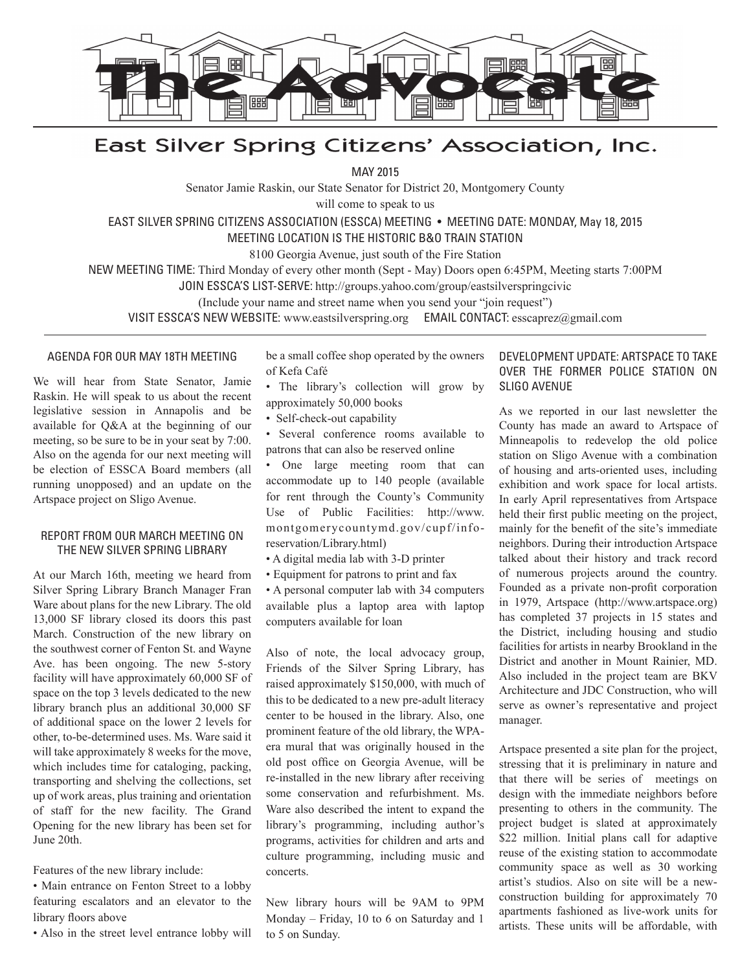

# East Silver Spring Citizens' Association, Inc.

MAY 2015

Senator Jamie Raskin, our State Senator for District 20, Montgomery County

will come to speak to us

EAST SILVER SPRING CITIZENS ASSOCIATION (ESSCA) MEETING • MEETING DATE: MONDAY, May 18, 2015

MEETING LOCATION IS THE HISTORIC B&O TRAIN STATION

8100 Georgia Avenue, just south of the Fire Station

NEW MEETING TIME: Third Monday of every other month (Sept - May) Doors open 6:45PM, Meeting starts 7:00PM

JOIN ESSCA'S LIST-SERVE: http://groups.yahoo.com/group/eastsilverspringcivic

(Include your name and street name when you send your "join request")

VISIT ESSCA'S NEW WEBSITE: www.eastsilverspring.org EMAIL CONTACT: esscaprez@gmail.com

#### AGENDA FOR OUR MAY 18TH MEETING

We will hear from State Senator, Jamie Raskin. He will speak to us about the recent legislative session in Annapolis and be available for Q&A at the beginning of our meeting, so be sure to be in your seat by 7:00. Also on the agenda for our next meeting will be election of ESSCA Board members (all running unopposed) and an update on the Artspace project on Sligo Avenue.

#### REPORT FROM OUR MARCH MEETING ON THE NEW SILVER SPRING LIBRARY

At our March 16th, meeting we heard from Silver Spring Library Branch Manager Fran Ware about plans for the new Library. The old 13,000 SF library closed its doors this past March. Construction of the new library on the southwest corner of Fenton St. and Wayne Ave. has been ongoing. The new 5-story facility will have approximately 60,000 SF of space on the top 3 levels dedicated to the new library branch plus an additional 30,000 SF of additional space on the lower 2 levels for other, to-be-determined uses. Ms. Ware said it will take approximately 8 weeks for the move, which includes time for cataloging, packing, transporting and shelving the collections, set up of work areas, plus training and orientation of staff for the new facility. The Grand Opening for the new library has been set for June 20th.

Features of the new library include:

• Main entrance on Fenton Street to a lobby featuring escalators and an elevator to the library floors above

• Also in the street level entrance lobby will

be a small coffee shop operated by the owners of Kefa Café

- The library's collection will grow by approximately 50,000 books
- Self-check-out capability
- Several conference rooms available to patrons that can also be reserved online

• One large meeting room that can accommodate up to 140 people (available for rent through the County's Community Use of Public Facilities: http://www. montgomerycountymd.gov/cupf/inforeservation/Library.html)

- A digital media lab with 3-D printer
- Equipment for patrons to print and fax
- A personal computer lab with 34 computers available plus a laptop area with laptop computers available for loan

Also of note, the local advocacy group, Friends of the Silver Spring Library, has raised approximately \$150,000, with much of this to be dedicated to a new pre-adult literacy center to be housed in the library. Also, one prominent feature of the old library, the WPAera mural that was originally housed in the old post office on Georgia Avenue, will be re-installed in the new library after receiving some conservation and refurbishment. Ms. Ware also described the intent to expand the library's programming, including author's programs, activities for children and arts and culture programming, including music and concerts.

New library hours will be 9AM to 9PM Monday – Friday, 10 to 6 on Saturday and 1 to 5 on Sunday.

#### DEVELOPMENT UPDATE: ARTSPACE TO TAKE OVER THE FORMER POLICE STATION ON SLIGO AVENUE

As we reported in our last newsletter the County has made an award to Artspace of Minneapolis to redevelop the old police station on Sligo Avenue with a combination of housing and arts-oriented uses, including exhibition and work space for local artists. In early April representatives from Artspace held their first public meeting on the project, mainly for the benefit of the site's immediate neighbors. During their introduction Artspace talked about their history and track record of numerous projects around the country. Founded as a private non-profit corporation in 1979, Artspace (http://www.artspace.org) has completed 37 projects in 15 states and the District, including housing and studio facilities for artists in nearby Brookland in the District and another in Mount Rainier, MD. Also included in the project team are BKV Architecture and JDC Construction, who will serve as owner's representative and project manager.

Artspace presented a site plan for the project, stressing that it is preliminary in nature and that there will be series of meetings on design with the immediate neighbors before presenting to others in the community. The project budget is slated at approximately \$22 million. Initial plans call for adaptive reuse of the existing station to accommodate community space as well as 30 working artist's studios. Also on site will be a newconstruction building for approximately 70 apartments fashioned as live-work units for artists. These units will be affordable, with